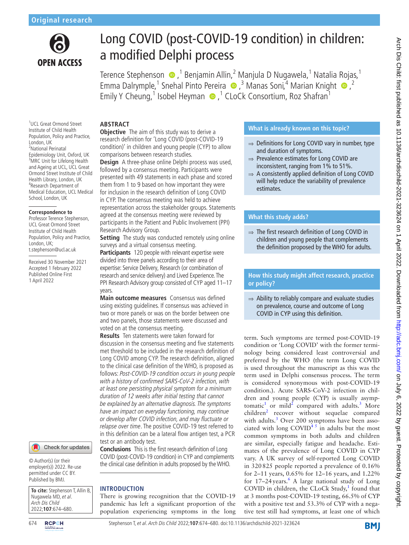

# Long COVID (post-COVID-19 condition) in children: a modified Delphi process

Terence Stephenson  $\bigcirc$ , <sup>1</sup> Benjamin Allin, <sup>2</sup> Manjula D Nugawela, <sup>1</sup> Natalia Rojas, <sup>1</sup> EmmaDalrymple,<sup>1</sup> Snehal Pinto Pereira  $\bullet$ ,<sup>3</sup> Manas Soni,<sup>4</sup> Marian Knight  $\bullet$ ,<sup>2</sup> Emily Y Cheung,<sup>1</sup> Isobel Heyman (D,<sup>1</sup> CLoCk Consortium, Roz Shafran<sup>1</sup>

## **ABSTRACT**

1 UCL Great Ormond Street Institute of Child Health Population, Policy and Practice, London, UK 2 National Perinatal Epidemiology Unit, Oxford, UK <sup>3</sup>MRC Unit for Lifelong Health and Ageing at UCL, UCL Great Ormond Street Institute of Child Health Library, London, UK 4 Research Department of Medical Education, UCL Medical School, London, UK

#### **Correspondence to**

Professor Terence Stephenson, UCL Great Ormond Street Institute of Child Health Population, Policy and Practice, London, UK; t.stephenson@ucl.ac.uk

Received 30 November 2021 Accepted 1 February 2022 Published Online First 1 April 2022

#### Check for updates

© Author(s) (or their employer(s)) 2022. Re-use permitted under CC BY. Published by BMJ.

**To cite:** Stephenson T, Allin B, Nugawela MD, et al. Arch Dis Child 2022;**107**:674–680.

**Objective** The aim of this study was to derive a research definition for 'Long COVID (post-COVID-19 condition)' in children and young people (CYP) to allow comparisons between research studies.

**Design** A three-phase online Delphi process was used, followed by a consensus meeting. Participants were presented with 49 statements in each phase and scored them from 1 to 9 based on how important they were for inclusion in the research definition of Long COVID

in CYP. The consensus meeting was held to achieve representation across the stakeholder groups. Statements agreed at the consensus meeting were reviewed by participants in the Patient and Public Involvement (PPI) Research Advisory Group.

**Setting** The study was conducted remotely using online surveys and a virtual consensus meeting.

**Participants** 120 people with relevant expertise were divided into three panels according to their area of expertise: Service Delivery, Research (or combination of research and service delivery) and Lived Experience. The PPI Research Advisory group consisted of CYP aged 11–17 years.

**Main outcome measures** Consensus was defined using existing guidelines. If consensus was achieved in two or more panels or was on the border between one and two panels, those statements were discussed and voted on at the consensus meeting.

**Results** Ten statements were taken forward for discussion in the consensus meeting and five statements met threshold to be included in the research definition of Long COVID among CYP. The research definition, aligned to the clinical case definition of the WHO, is proposed as follows: Post-COVID-19 condition occurs in young people with a history of confirmed SARS-CoV-2 infection, with at least one persisting physical symptom for a minimum duration of 12 weeks after initial testing that cannot be explained by an alternative diagnosis. The symptoms have an impact on everyday functioning, may continue or develop after COVID infection, and may fluctuate or relapse over time. The positive COVID-19 test referred to in this definition can be a lateral flow antigen test, a PCR test or an antibody test.

**Conclusions** This is the first research definition of Long COVID (post-COVID-19 condition) in CYP and complements the clinical case definition in adults proposed by the WHO.

## **INTRODUCTION**

There is growing recognition that the COVID-19 pandemic has left a significant proportion of the population experiencing symptoms in the long

## **What is already known on this topic?**

- ⇒ Definitions for Long COVID vary in number, type and duration of symptoms.
- ⇒ Prevalence estimates for Long COVID are inconsistent, ranging from 1% to 51%.
- $\Rightarrow$  A consistently applied definition of Long COVID will help reduce the variability of prevalence estimates.

## **What this study adds?**

⇒ The first research definition of Long COVID in children and young people that complements the definition proposed by the WHO for adults.

**How this study might affect research, practice or policy?**

 $\Rightarrow$  Ability to reliably compare and evaluate studies on prevalence, course and outcome of Long COVID in CYP using this definition.

term. Such symptoms are termed post-COVID-19 condition or 'Long COVID' with the former terminology being considered least controversial and preferred by the WHO (the term Long COVID is used throughout the manuscript as this was the term used in Delphi consensus process. The term is considered synonymous with post-COVID-19 condition.). Acute SARS-CoV-2 infection in children and young people (CYP) is usually asymp-tomatic<sup>[1](#page-5-0)</sup> or mild<sup>2</sup> compared with adults.<sup>3</sup> More children<sup>2</sup> recover without sequelae compared with adults.<sup>[3](#page-5-2)</sup> Over 200 symptoms have been associated with long COVID $45$  in adults but the most common symptoms in both adults and children are similar, especially fatigue and headache. Estimates of the prevalence of Long COVID in CYP vary. A UK survey of self-reported Long COVID in 320825 people reported a prevalence of 0.16% for 2–11 years, 0.65% for 12–16 years, and 1.22% for  $17-24$  years.<sup>[6](#page-6-0)</sup> A large national study of Long COVID in children, the CLoCk Study, $1$  found that at 3 months post-COVID-19 testing, 66.5% of CYP with a positive test and 53.3% of CYP with a negative test still had symptoms, at least one of which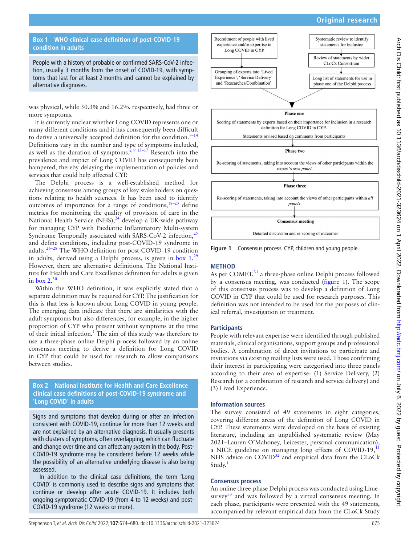## **Box 1 WHO clinical case definition of post-COVID-19 condition in adults**

<span id="page-1-0"></span>People with a history of probable or confirmed SARS-CoV-2 infection, usually 3 months from the onset of COVID-19, with symptoms that last for at least 2months and cannot be explained by alternative diagnoses.

was physical, while 30.3% and 16.2%, respectively, had three or more symptoms.

It is currently unclear whether Long COVID represents one or many different conditions and it has consequently been difficult to derive a universally accepted definition for the condition.<sup>7-14</sup> Definitions vary in the number and type of symptoms included, as well as the duration of symptoms.<sup>[2 9 15–17](#page-5-1)</sup> Research into the prevalence and impact of Long COVID has consequently been hampered, thereby delaying the implementation of policies and services that could help affected CYP.

The Delphi process is a well-established method for achieving consensus among groups of key stakeholders on questions relating to health sciences. It has been used to identify outcomes of importance for a range of conditions,  $18-23$  define metrics for monitoring the quality of provision of care in the National Health Service (NHS),<sup>[24](#page-6-3)</sup> develop a UK-wide pathway for managing CYP with Paediatric Inflammatory Multi-system Syndrome Temporally associated with SARS-CoV-2 infection,<sup>2</sup> and define conditions, including post-COVID-19 syndrome in adults.<sup>26–28</sup> The WHO definition for post-COVID-19 condition in adults, derived using a Delphi process, is given in [box](#page-1-0)  $1.^{29}$  $1.^{29}$  $1.^{29}$ However, there are alternative definitions. The National Institute for Health and Care Excellence definition for adults is given in [box](#page-1-1)  $2.^{30}$  $2.^{30}$  $2.^{30}$ 

Within the WHO definition, it was explicitly stated that a separate definition may be required for CYP. The justification for this is that less is known about Long COVID in young people. The emerging data indicate that there are similarities with the adult symptoms but also differences, for example, in the higher proportion of CYP who present without symptoms at the time of their initial infection.<sup>[1](#page-5-0)</sup> The aim of this study was therefore to use a three-phase online Delphi process followed by an online consensus meeting to derive a definition for Long COVID in CYP that could be used for research to allow comparisons between studies.

**Box 2 National Institute for Health and Care Excellence clinical case definitions of post-COVID-19 syndrome and 'Long COVID' in adults**

<span id="page-1-1"></span>Signs and symptoms that develop during or after an infection consistent with COVID-19, continue for more than 12 weeks and are not explained by an alternative diagnosis. It usually presents with clusters of symptoms, often overlapping, which can fluctuate and change over time and can affect any system in the body. Post-COVID-19 syndrome may be considered before 12 weeks while the possibility of an alternative underlying disease is also being assessed.

In addition to the clinical case definitions, the term 'Long COVID' is commonly used to describe signs and symptoms that continue or develop after acute COVID-19. It includes both ongoing symptomatic COVID-19 (from 4 to 12 weeks) and post-COVID-19 syndrome (12 weeks or more).



<span id="page-1-2"></span>**Figure 1** Consensus process. CYP, children and young people.

# **METHOD**

As per COMET,<sup>[31](#page-6-8)</sup> a three-phase online Delphi process followed by a consensus meeting, was conducted ([figure](#page-1-2) 1). The scope of this consensus process was to develop a definition of Long COVID in CYP that could be used for research purposes. This definition was not intended to be used for the purposes of clinical referral, investigation or treatment.

## **Participants**

People with relevant expertise were identified through published materials, clinical organisations, support groups and professional bodies. A combination of direct invitations to participate and invitations via existing mailing lists were used. Those confirming their interest in participating were categorised into three panels according to their area of expertise: (1) Service Delivery, (2) Research (or a combination of research and service delivery) and (3) Lived Experience.

## **Information sources**

The survey consisted of 49 statements in eight categories, covering different areas of the definition of Long COVID in CYP. These statements were developed on the basis of existing literature, including an unpublished systematic review (May 2021–Lauren O'Mahoney, Leicester, personal communication), a NICE guideline on managing long effects of COVID-19,<sup>[11](#page-6-9)</sup> NHS advice on COVID<sup>[32](#page-6-10)</sup> and empirical data from the CLoCk Study.<sup>[1](#page-5-0)</sup>

## **Consensus process**

An online three-phase Delphi process was conducted using Limesurvey $33$  and was followed by a virtual consensus meeting. In each phase, participants were presented with the 49 statements, accompanied by relevant empirical data from the CLoCk Study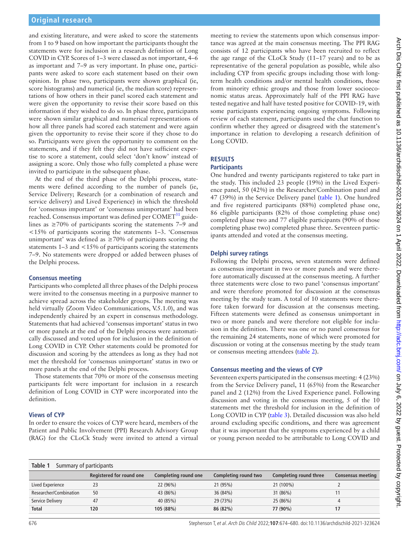and existing literature, and were asked to score the statements from 1 to 9 based on how important the participants thought the statements were for inclusion in a research definition of Long COVID in CYP. Scores of 1–3 were classed as not important, 4–6 as important and 7–9 as very important. In phase one, participants were asked to score each statement based on their own opinion. In phase two, participants were shown graphical (ie, score histograms) and numerical (ie, the median score) representations of how others in their panel scored each statement and were given the opportunity to revise their score based on this information if they wished to do so. In phase three, participants were shown similar graphical and numerical representations of how all three panels had scored each statement and were again given the opportunity to revise their score if they chose to do so. Participants were given the opportunity to comment on the statements, and if they felt they did not have sufficient expertise to score a statement, could select 'don't know' instead of assigning a score. Only those who fully completed a phase were invited to participate in the subsequent phase.

At the end of the third phase of the Delphi process, statements were defined according to the number of panels (ie, Service Delivery; Research (or a combination of research and service delivery) and Lived Experience) in which the threshold for 'consensus important' or 'consensus unimportant' had been reached. Consensus important was defined per COMET<sup>31</sup> guidelines as ≥70% of participants scoring the statements 7–9 and <15% of participants scoring the statements 1–3. 'Consensus unimportant' was defined as  $\geq$ 70% of participants scoring the statements 1–3 and <15% of participants scoring the statements 7–9. No statements were dropped or added between phases of the Delphi process.

#### **Consensus meeting**

Participants who completed all three phases of the Delphi process were invited to the consensus meeting in a purposive manner to achieve spread across the stakeholder groups. The meeting was held virtually (Zoom Video Communications, V.5.1.0), and was independently chaired by an expert in consensus methodology. Statements that had achieved 'consensus important' status in two or more panels at the end of the Delphi process were automatically discussed and voted upon for inclusion in the definition of Long COVID in CYP. Other statements could be promoted for discussion and scoring by the attendees as long as they had not met the threshold for 'consensus unimportant' status in two or more panels at the end of the Delphi process.

Those statements that 70% or more of the consensus meeting participants felt were important for inclusion in a research definition of Long COVID in CYP were incorporated into the definition.

#### **Views of CYP**

In order to ensure the voices of CYP were heard, members of the Patient and Public Involvement (PPI) Research Advisory Group (RAG) for the CLoCk Study were invited to attend a virtual

meeting to review the statements upon which consensus importance was agreed at the main consensus meeting. The PPI RAG consists of 12 participants who have been recruited to reflect the age range of the CLoCk Study (11–17 years) and to be as representative of the general population as possible, while also including CYP from specific groups including those with longterm health conditions and/or mental health conditions, those from minority ethnic groups and those from lower socioeconomic status areas. Approximately half of the PPI RAG have tested negative and half have tested positive for COVID-19, with some participants experiencing ongoing symptoms. Following review of each statement, participants used the chat function to confirm whether they agreed or disagreed with the statement's importance in relation to developing a research definition of Long COVID.

#### **RESULTS Participants**

One hundred and twenty participants registered to take part in the study. This included 23 people (19%) in the Lived Experience panel, 50 (42%) in the Researcher/Combination panel and 47 (39%) in the Service Delivery panel ([table](#page-2-0) 1). One hundred and five registered participants (88%) completed phase one, 86 eligible participants (82% of those completing phase one) completed phase two and 77 eligible participants (90% of those completing phase two) completed phase three. Seventeen participants attended and voted at the consensus meeting.

## **Delphi survey ratings**

Following the Delphi process, seven statements were defined as consensus important in two or more panels and were therefore automatically discussed at the consensus meeting. A further three statements were close to two panel 'consensus important' and were therefore promoted for discussion at the consensus meeting by the study team. A total of 10 statements were therefore taken forward for discussion at the consensus meeting. Fifteen statements were defined as consensus unimportant in two or more panels and were therefore not eligible for inclusion in the definition. There was one or no panel consensus for the remaining 24 statements, none of which were promoted for discussion or voting at the consensus meeting by the study team or consensus meeting attendees ([table](#page-3-0) 2).

#### **Consensus meeting and the views of CYP**

Seventeen experts participated in the consensus meeting: 4 (23%) from the Service Delivery panel, 11 (65%) from the Researcher panel and 2 (12%) from the Lived Experience panel. Following discussion and voting in the consensus meeting, 5 of the 10 statements met the threshold for inclusion in the definition of Long COVID in CYP [\(table](#page-4-0) 3). Detailed discussion was also held around excluding specific conditions, and there was agreement that it was important that the symptoms experienced by a child or young person needed to be attributable to Long COVID and

<span id="page-2-0"></span>

| Table 1<br>Summary of participants |                          |                      |                      |                               |                          |
|------------------------------------|--------------------------|----------------------|----------------------|-------------------------------|--------------------------|
|                                    | Registered for round one | Completing round one | Completing round two | <b>Completing round three</b> | <b>Consensus meeting</b> |
| Lived Experience                   | 23                       | 22 (96%)             | 21 (95%)             | 21 (100%)                     |                          |
| Researcher/Combination             | 50                       | 43 (86%)             | 36 (84%)             | 31 (86%)                      |                          |
| Service Delivery                   | 47                       | 40 (85%)             | 29 (73%)             | 25 (86%)                      |                          |
| Total                              | 120                      | 105 (88%)            | 86 (82%)             | 77 (90%)                      | 17                       |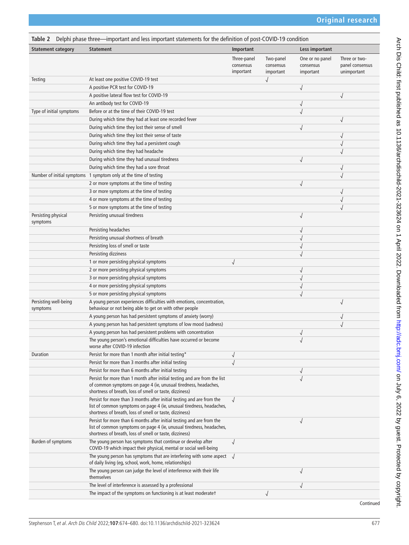<span id="page-3-0"></span>

|                                   | Table 2 Delphi phase three—important and less important statements for the definition of post-COVID-19 condition                                                                                         |                                       |                                     |                                           |                                                 |
|-----------------------------------|----------------------------------------------------------------------------------------------------------------------------------------------------------------------------------------------------------|---------------------------------------|-------------------------------------|-------------------------------------------|-------------------------------------------------|
| <b>Statement category</b>         | <b>Statement</b>                                                                                                                                                                                         | Important                             |                                     | Less important                            |                                                 |
|                                   |                                                                                                                                                                                                          | Three-panel<br>consensus<br>important | Two-panel<br>consensus<br>important | One or no panel<br>consensus<br>important | Three or two-<br>panel consensus<br>unimportant |
| Testing                           | At least one positive COVID-19 test                                                                                                                                                                      |                                       |                                     |                                           |                                                 |
|                                   | A positive PCR test for COVID-19                                                                                                                                                                         |                                       |                                     | $\sqrt{2}$                                |                                                 |
|                                   | A positive lateral flow test for COVID-19                                                                                                                                                                |                                       |                                     |                                           | $\sqrt{}$                                       |
|                                   | An antibody test for COVID-19                                                                                                                                                                            |                                       |                                     | $\sqrt{}$                                 |                                                 |
| Type of initial symptoms          | Before or at the time of their COVID-19 test                                                                                                                                                             |                                       |                                     | $\sqrt{2}$                                |                                                 |
|                                   | During which time they had at least one recorded fever                                                                                                                                                   |                                       |                                     |                                           | $\sqrt{2}$                                      |
|                                   | During which time they lost their sense of smell                                                                                                                                                         |                                       |                                     | $\sqrt{}$                                 |                                                 |
|                                   | During which time they lost their sense of taste                                                                                                                                                         |                                       |                                     |                                           | √                                               |
|                                   | During which time they had a persistent cough                                                                                                                                                            |                                       |                                     |                                           |                                                 |
|                                   | During which time they had headache                                                                                                                                                                      |                                       |                                     |                                           |                                                 |
|                                   | During which time they had unusual tiredness                                                                                                                                                             |                                       |                                     | $\sqrt{2}$                                |                                                 |
|                                   | During which time they had a sore throat                                                                                                                                                                 |                                       |                                     |                                           | √                                               |
|                                   | Number of initial symptoms 1 symptom only at the time of testing                                                                                                                                         |                                       |                                     |                                           |                                                 |
|                                   | 2 or more symptoms at the time of testing                                                                                                                                                                |                                       |                                     | $\sqrt{}$                                 |                                                 |
|                                   | 3 or more symptoms at the time of testing                                                                                                                                                                |                                       |                                     |                                           |                                                 |
|                                   | 4 or more symptoms at the time of testing                                                                                                                                                                |                                       |                                     |                                           |                                                 |
|                                   | 5 or more symptoms at the time of testing                                                                                                                                                                |                                       |                                     |                                           |                                                 |
| Persisting physical<br>symptoms   | Persisting unusual tiredness                                                                                                                                                                             |                                       |                                     | $\sqrt{}$                                 |                                                 |
|                                   | Persisting headaches                                                                                                                                                                                     |                                       |                                     | $\sqrt{2}$                                |                                                 |
|                                   | Persisting unusual shortness of breath                                                                                                                                                                   |                                       |                                     | $\sqrt{2}$                                |                                                 |
|                                   | Persisting loss of smell or taste                                                                                                                                                                        |                                       |                                     | $\sqrt{ }$                                |                                                 |
|                                   | Persisting dizziness                                                                                                                                                                                     |                                       |                                     | $\sqrt{}$                                 |                                                 |
|                                   | 1 or more persisting physical symptoms                                                                                                                                                                   | $\sqrt{}$                             |                                     |                                           |                                                 |
|                                   | 2 or more persisting physical symptoms                                                                                                                                                                   |                                       |                                     | $\sqrt{2}$                                |                                                 |
|                                   | 3 or more persisting physical symptoms                                                                                                                                                                   |                                       |                                     | $\sqrt{2}$                                |                                                 |
|                                   | 4 or more persisting physical symptoms                                                                                                                                                                   |                                       |                                     | $\sqrt{2}$                                |                                                 |
|                                   | 5 or more persisting physical symptoms                                                                                                                                                                   |                                       |                                     | $\sqrt{2}$                                |                                                 |
| Persisting well-being<br>symptoms | A young person experiences difficulties with emotions, concentration,<br>behaviour or not being able to get on with other people                                                                         |                                       |                                     |                                           |                                                 |
|                                   | A young person has had persistent symptoms of anxiety (worry)                                                                                                                                            |                                       |                                     |                                           | $\sqrt{}$                                       |
|                                   | A young person has had persistent symptoms of low mood (sadness)                                                                                                                                         |                                       |                                     |                                           |                                                 |
|                                   | A young person has had persistent problems with concentration                                                                                                                                            |                                       |                                     |                                           |                                                 |
|                                   | The young person's emotional difficulties have occurred or become<br>worse after COVID-19 infection                                                                                                      |                                       |                                     |                                           |                                                 |
| Duration                          | Persist for more than 1 month after initial testing*                                                                                                                                                     | $\sqrt{}$                             |                                     |                                           |                                                 |
|                                   | Persist for more than 3 months after initial testing                                                                                                                                                     | $\sqrt{2}$                            |                                     |                                           |                                                 |
|                                   | Persist for more than 6 months after initial testing                                                                                                                                                     |                                       |                                     | $\sqrt{2}$                                |                                                 |
|                                   | Persist for more than 1 month after initial testing and are from the list<br>of common symptoms on page 4 (ie, unusual tiredness, headaches,<br>shortness of breath, loss of smell or taste, dizziness)  |                                       |                                     | $\sqrt{}$                                 |                                                 |
|                                   | Persist for more than 3 months after initial testing and are from the<br>list of common symptoms on page 4 (ie, unusual tiredness, headaches,<br>shortness of breath, loss of smell or taste, dizziness) | $\sqrt{ }$                            |                                     |                                           |                                                 |
|                                   | Persist for more than 6 months after initial testing and are from the<br>list of common symptoms on page 4 (ie, unusual tiredness, headaches,<br>shortness of breath, loss of smell or taste, dizziness) |                                       |                                     | $\sqrt{ }$                                |                                                 |
| Burden of symptoms                | The young person has symptoms that continue or develop after<br>COVID-19 which impact their physical, mental or social well-being                                                                        | $\sqrt{}$                             |                                     |                                           |                                                 |
|                                   | The young person has symptoms that are interfering with some aspect $\sqrt{ }$<br>of daily living (eg, school, work, home, relationships)                                                                |                                       |                                     |                                           |                                                 |
|                                   | The young person can judge the level of interference with their life<br>themselves                                                                                                                       |                                       |                                     | $\sqrt{ }$                                |                                                 |
|                                   | The level of interference is assessed by a professional                                                                                                                                                  |                                       |                                     | $\sqrt{2}$                                |                                                 |
|                                   | The impact of the symptoms on functioning is at least moderatet                                                                                                                                          |                                       |                                     |                                           |                                                 |

Arch Dis Child: first published as 10.1136/archdischild-2021-323624 on 1 April 2022. Downloaded from http://adc.bmj.com/ on July 6, 2022 by guest. Protected by copyright. Arch Dis Child: first published as 10.1136/archdischild-2021-323624 on 1 April 2022. Downloaded from <http://adc.bmj.com/> on July 6, 2022 by guest. Protected by copyright.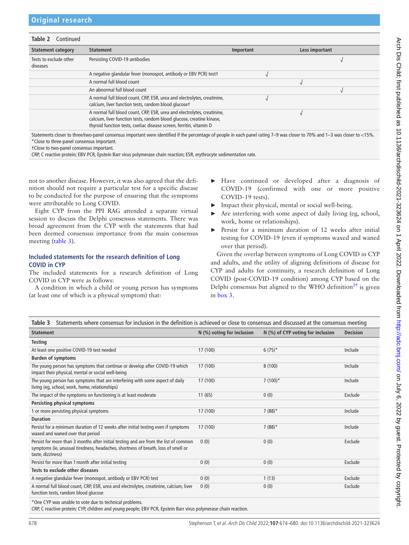| Table 2<br>Continued               |                                                                                                                                                                                                                               |           |                |
|------------------------------------|-------------------------------------------------------------------------------------------------------------------------------------------------------------------------------------------------------------------------------|-----------|----------------|
| <b>Statement category</b>          | <b>Statement</b>                                                                                                                                                                                                              | Important | Less important |
| Tests to exclude other<br>diseases | Persisting COVID-19 antibodies                                                                                                                                                                                                |           |                |
|                                    | A negative glandular fever (monospot, antibody or EBV PCR) test                                                                                                                                                               |           |                |
|                                    | A normal full blood count                                                                                                                                                                                                     |           |                |
|                                    | An abnormal full blood count                                                                                                                                                                                                  |           |                |
|                                    | A normal full blood count, CRP, ESR, urea and electrolytes, creatinine,<br>calcium, liver function tests, random blood glucoset                                                                                               |           |                |
|                                    | A normal full blood count, CRP, ESR, urea and electrolytes, creatinine,<br>calcium, liver function tests, random blood glucose, creatine kinase,<br>thyroid function tests, coeliac disease screen, ferritin, vitamin D       |           |                |
|                                    | . The contract of the contract of the contract of the contract of the contract of the contract of the contract of the contract of the contract of the contract of the contract of the contract of the contract of the contrac |           |                |

Statements closer to three/two-panel consensus important were identified if the percentage of people in each panel rating 7–9 was closer to 70% and 1–3 was closer to <15%. \*Close to three-panel consensus important.

†Close to two-panel consensus important.

CRP, C reactive protein; EBV PCR, Epstein Barr virus polymerase chain reaction; ESR, erythrocyte sedimentation rate.

not to another disease. However, it was also agreed that the definition should not require a particular test for a specific disease to be conducted for the purpose of ensuring that the symptoms were attributable to Long COVID.

Eight CYP from the PPI RAG attended a separate virtual session to discuss the Delphi consensus statements. There was broad agreement from the CYP with the statements that had been deemed consensus importance from the main consensus meeting [\(table](#page-4-0) 3).

## **Included statements for the research definition of Long COVID in CYP**

The included statements for a research definition of Long COVID in CYP were as follows:

A condition in which a child or young person has symptoms (at least one of which is a physical symptom) that:

- Have continued or developed after a diagnosis of COVID-19 (confirmed with one or more positive COVID-19 tests).
- Impact their physical, mental or social well-being.
- Are interfering with some aspect of daily living (eg, school, work, home or relationships).
- Persist for a minimum duration of 12 weeks after initial testing for COVID-19 (even if symptoms waxed and waned over that period).

Given the overlap between symptoms of Long COVID in CYP and adults, and the utility of aligning definitions of disease for CYP and adults for continuity, a research definition of Long COVID (post-COVID-19 condition) among CYP based on the Delphi consensus but aligned to the WHO definition<sup>29</sup> is given in [box](#page-5-4) 3.

<span id="page-4-0"></span>

| Statements where consensus for inclusion in the definition is achieved or close to consensus and discussed at the consensus meeting<br>Table 3                                                 |                              |                                     |                 |  |  |
|------------------------------------------------------------------------------------------------------------------------------------------------------------------------------------------------|------------------------------|-------------------------------------|-----------------|--|--|
| <b>Statement</b>                                                                                                                                                                               | $N$ (%) voting for inclusion | $N$ (%) of CYP voting for inclusion | <b>Decision</b> |  |  |
| <b>Testing</b>                                                                                                                                                                                 |                              |                                     |                 |  |  |
| At least one positive COVID-19 test needed                                                                                                                                                     | 17 (100)                     | $6(75)*$                            | Include         |  |  |
| <b>Burden of symptoms</b>                                                                                                                                                                      |                              |                                     |                 |  |  |
| The young person has symptoms that continue or develop after COVID-19 which<br>impact their physical, mental or social well-being                                                              | 17 (100)                     | 8(100)                              | Include         |  |  |
| The young person has symptoms that are interfering with some aspect of daily<br>living (eg, school, work, home, relationships)                                                                 | 17 (100)                     | $7(100)*$                           | Include         |  |  |
| The impact of the symptoms on functioning is at least moderate                                                                                                                                 | 11(65)                       | 0(0)                                | Exclude         |  |  |
| Persisting physical symptoms                                                                                                                                                                   |                              |                                     |                 |  |  |
| 1 or more persisting physical symptoms                                                                                                                                                         | 17 (100)                     | $7(88)$ *                           | Include         |  |  |
| <b>Duration</b>                                                                                                                                                                                |                              |                                     |                 |  |  |
| Persist for a minimum duration of 12 weeks after initial testing even if symptoms<br>waxed and waned over that period                                                                          | 17 (100)                     | $7(88)$ *                           | Include         |  |  |
| Persist for more than 3 months after initial testing and are from the list of common<br>symptoms (ie, unusual tiredness, headaches, shortness of breath, loss of smell or<br>taste, dizziness) | 0(0)                         | 0(0)                                | Exclude         |  |  |
| Persist for more than 1 month after initial testing                                                                                                                                            | 0(0)                         | 0(0)                                | Exclude         |  |  |
| Tests to exclude other diseases                                                                                                                                                                |                              |                                     |                 |  |  |
| A negative glandular fever (monospot, antibody or EBV PCR) test                                                                                                                                | 0(0)                         | 1(13)                               | Exclude         |  |  |
| A normal full blood count, CRP, ESR, urea and electrolytes, creatinine, calcium, liver<br>function tests, random blood glucose                                                                 | 0(0)                         | 0(0)                                | Exclude         |  |  |
| *One CVB was unable to yote due to technical problems                                                                                                                                          |                              |                                     |                 |  |  |

Une CYP was unable to vote due to technical problems

CRP, C reactive protein; CYP, children and young people; EBV PCR, Epstein Barr virus polymerase chain reaction.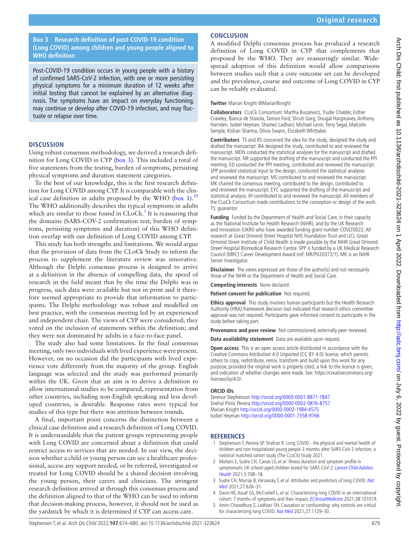#### **Box 3 Research definition of post-COVID-19 condition (Long COVID) among children and young people aligned to WHO definition**

<span id="page-5-4"></span>Post-COVID-19 condition occurs in young people with a history of confirmed SARS-CoV-2 infection, with one or more persisting physical symptoms for a minimum duration of 12 weeks after initial testing that cannot be explained by an alternative diagnosis. The symptoms have an impact on everyday functioning, may continue or develop after COVID-19 infection, and may fluctuate or relapse over time.

#### **DISCUSSION**

Using robust consensus methodology, we derived a research definition for Long COVID in CYP ([box](#page-5-4) 3). This included a total of five statements from the testing, burden of symptoms, persisting physical symptoms and duration statement categories.

To the best of our knowledge, this is the first research definition for Long COVID among CYP. It is comparable with the clinical case definition in adults proposed by the WHO ([box](#page-1-0) 1).<sup>[29](#page-6-6)</sup> The WHO additionally describes the typical symptoms in adults which are similar to those found in  $CLoCk<sup>1</sup>$  $CLoCk<sup>1</sup>$  $CLoCk<sup>1</sup>$  It is reassuring that the domains (SARS-COV-2 confirmation test, burden of symptoms, persisting symptoms and duration) of this WHO definition overlap with our definition of Long COVID among CYP.

This study has both strengths and limitations. We would argue that the provision of data from the CLoCk Study to inform the process to supplement the literature review was innovative. Although the Delphi consensus process is designed to arrive at a definition in the absence of compelling data, the speed of research in the field meant that by the time the Delphi was in progress, such data were available but not in print and it therefore seemed appropriate to provide that information to participants. The Delphi methodology was robust and modelled on best practice, with the consensus meeting led by an experienced and independent chair. The views of CYP were considered; they voted on the inclusion of statements within the definition; and they were not dominated by adults in a face-to-face panel.

The study also had some limitations. In the final consensus meeting, only two individuals with lived experience were present. However, on no occasion did the participants with lived experience vote differently from the majority of the group. English language was selected and the study was performed primarily within the UK. Given that an aim is to derive a definition to allow international studies to be compared, representation from other countries, including non-English speaking and less developed countries, is desirable. Response rates were typical for studies of this type but there was attrition between rounds.

A final, important point concerns the distinction between a clinical case definition and a research definition of Long COVID. It is understandable that the patient groups representing people with Long COVID are concerned about a definition that could restrict access to services that are needed. In our view, the decision whether a child or young person can see a healthcare professional, access any support needed, or be referred, investigated or treated for Long COVID should be a shared decision involving the young person, their carers and clinicians. The stringent research definition arrived at through this consensus process and the definition aligned to that of the WHO can be used to inform that decision-making process, however, it should not be used as the yardstick by which it is determined if CYP can access care.

## **CONCLUSION**

A modified Delphi consensus process has produced a research definition of Long COVID in CYP that complements that proposed by the WHO. They are reassuringly similar. Widespread adoption of this definition would allow comparisons between studies such that a core outcome set can be developed and the prevalence, course and outcome of Long COVID in CYP can be reliably evaluated.

**Twitter** Marian Knight [@Marianfknight](https://twitter.com/Marianfknight)

**Collaborators** CLoCk Consortium: Martha Buszewicz, Trudie Chalder, Esther Crawley, Bianca de Stavola, Tamsin Ford, Shruti Garg, Dougal Hargreaves, Anthony Harnden, Isobel Heyman, Shamez Ladhani, Michael Levin, Terry Segal, Malcolm Semple, Kishan Sharma, Olivia Swann, Elizabeth Whittaker.

**Contributors** TS and RS conceived the idea for the study, designed the study and drafted the manuscript. BA designed the study, contributed to and reviewed the manuscript. MDN conducted the statistical analyses for the manuscript and drafted the manuscript. NR supported the drafting of the manuscript and conducted the PPI meeting. ED conducted the PPI meeting, contributed and reviewed the manuscript. SPP provided statistical input to the design, conducted the statistical analyses and reviewed the manuscript. MS contributed to and reviewed the manuscript. MK chaired the consensus meeting, contributed to the design, contributed to and reviewed the manuscript. EYC supported the drafting of the manuscript and statistical analysis. IH contributed to and reviewed the manuscript. All members of the CLoCk Consortium made contributions to the conception or design of the work. TS: guarantor.

**Funding** Funded by the Department of Health and Social Care, in their capacity as the National Institute for Health Research (NIHR), and by the UK Research and Innovation (UKRI) who have awarded funding grant number COVLT0022. All research at Great Ormond Street Hospital NHS Foundation Trust and UCL Great Ormond Street Institute of Child Health is made possible by the NIHR Great Ormond Street Hospital Biomedical Research Centre. SPP is funded by a UK Medical Research Council (MRC) Career Development Award (ref: MR/P020372/1). MK is an NIHR Senior Investigator.

**Disclaimer** The views expressed are those of the author(s) and not necessarily those of the NIHR or the Department of Health and Social Care.

**Competing interests** None declared.

**Patient consent for publication** Not required.

**Ethics approval** This study involves human participants but the Health Research Authority (HRA) framework decision tool indicated that research ethics committee approval was not required. Participants gave informed consent to participate in the study before taking part.

**Provenance and peer review** Not commissioned; externally peer reviewed.

**Data availability statement** Data are available upon request.

**Open access** This is an open access article distributed in accordance with the Creative Commons Attribution 4.0 Unported (CC BY 4.0) license, which permits others to copy, redistribute, remix, transform and build upon this work for any purpose, provided the original work is properly cited, a link to the licence is given, and indication of whether changes were made. See: [https://creativecommons.org/](https://creativecommons.org/licenses/by/4.0/) [licenses/by/4.0/.](https://creativecommons.org/licenses/by/4.0/)

#### **ORCID iDs**

Terence Stephenson<http://orcid.org/0000-0001-8871-7847> Snehal Pinto Pereira <http://orcid.org/0000-0002-0876-8757> Marian Knight<http://orcid.org/0000-0002-1984-4575> Isobel Heyman<http://orcid.org/0000-0001-7358-9766>

#### **REFERENCES**

- <span id="page-5-0"></span>1 Stephenson T, Pereira SP, Shafran R. Long COVID - the physical and mental health of children and non-hospitalised young people 3 months after SARS-CoV-2 infection; a national matched cohort study (The CLoCk) Study 2021.
- <span id="page-5-1"></span>2 Molteni E, Sudre CH, Canas LS, et al. Illness duration and symptom profile in symptomatic UK school-aged children tested for SARS-CoV-2. Lancet Child Adolesc [Health](http://dx.doi.org/10.1016/S2352-4642(21)00198-X) 2021;5:708–18.
- <span id="page-5-2"></span>3 Sudre CH, Murray B, Varsavsky T, et al. Attributes and predictors of long COVID. Nat [Med](http://dx.doi.org/10.1038/s41591-021-01292-y) 2021;27:626–31.
- <span id="page-5-3"></span>4 Davis HE, Assaf GS, McCorkell L, et al. Characterizing long COVID in an international cohort: 7 months of symptoms and their impact. [EClinicalMedicine](http://dx.doi.org/10.1016/j.eclinm.2021.101019) 2021;38:101019.
- 5 Amin-Chowdhury Z, Ladhani SN. Causation or confounding: why controls are critical for characterizing long COVID. [Nat Med](http://dx.doi.org/10.1038/s41591-021-01402-w) 2021;27:1129-30.